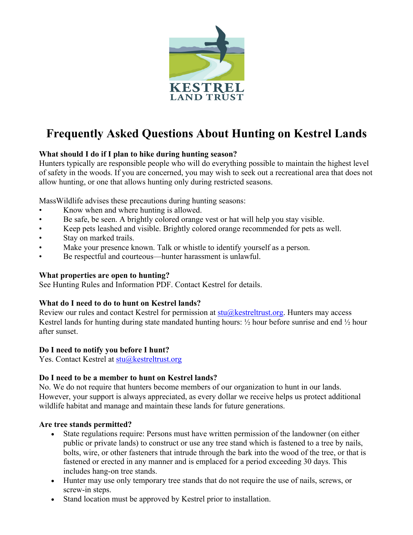

# **Frequently Asked Questions About Hunting on Kestrel Lands**

# **What should I do if I plan to hike during hunting season?**

Hunters typically are responsible people who will do everything possible to maintain the highest level of safety in the woods. If you are concerned, you may wish to seek out a recreational area that does not allow hunting, or one that allows hunting only during restricted seasons.

MassWildlife advises these precautions during hunting seasons:

- Know when and where hunting is allowed.
- Be safe, be seen. A brightly colored orange vest or hat will help you stay visible.
- Keep pets leashed and visible. Brightly colored orange recommended for pets as well.
- Stay on marked trails.
- Make your presence known. Talk or whistle to identify yourself as a person.
- Be respectful and courteous—hunter harassment is unlawful.

#### **What properties are open to hunting?**

See Hunting Rules and Information PDF. Contact Kestrel for details.

## **What do I need to do to hunt on Kestrel lands?**

Review our rules and contact Kestrel for permission at  $stu@k$ estreltrust.org. Hunters may access Kestrel lands for hunting during state mandated hunting hours: ½ hour before sunrise and end ½ hour after sunset.

## **Do I need to notify you before I hunt?**

Yes. Contact Kestrel at stu@kestreltrust.org

## **Do I need to be a member to hunt on Kestrel lands?**

No. We do not require that hunters become members of our organization to hunt in our lands. However, your support is always appreciated, as every dollar we receive helps us protect additional wildlife habitat and manage and maintain these lands for future generations.

#### **Are tree stands permitted?**

- State regulations require: Persons must have written permission of the landowner (on either public or private lands) to construct or use any tree stand which is fastened to a tree by nails, bolts, wire, or other fasteners that intrude through the bark into the wood of the tree, or that is fastened or erected in any manner and is emplaced for a period exceeding 30 days. This includes hang-on tree stands.
- Hunter may use only temporary tree stands that do not require the use of nails, screws, or screw-in steps.
- Stand location must be approved by Kestrel prior to installation.